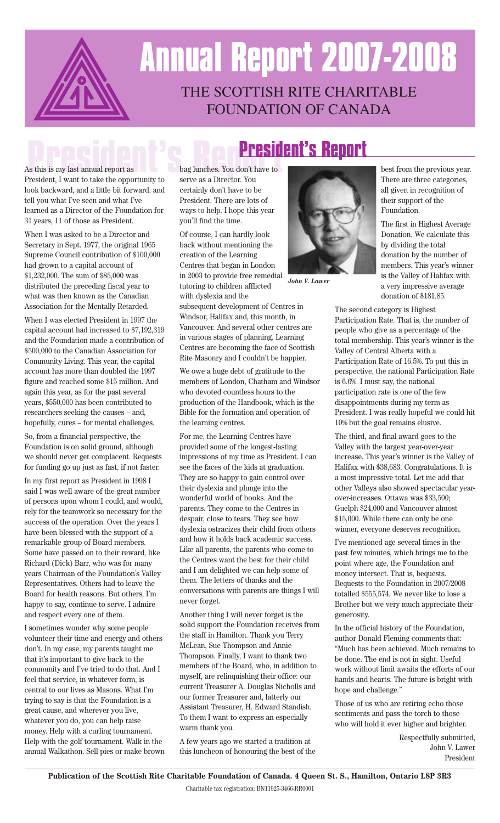

# THE SCOTTISH RITE CHARITABLE **Annual Report 2007-2008**

### FOUNDATION OF CANADA

### **President's Report**

As this is my last annual report as President, I want to take the opportunity to look backward, and a little bit forward, and tell you what I've seen and what I've learned as a Director of the Foundation for 31 years, 11 of those as President.

When I was asked to be a Director and Secretary in Sept. 1977, the original 1965 Supreme Council contribution of \$100,000 had grown to a capital account of \$1,232,000. The sum of \$85,000 was distributed the preceding fiscal year to what was then known as the Canadian Association for the Mentally Retarded.

When I was elected President in 1997 the capital account had increased to \$7,192,319 and the Foundation made a contribution of \$500,000 to the Canadian Association for Community Living. This year, the capital account has more than doubled the 1997 figure and reached some \$15 million. And again this year, as for the past several years, \$550,000 has been contributed to researchers seeking the causes – and, hopefully, cures – for mental challenges.

So, from a financial perspective, the Foundation is on solid ground, although we should never get complacent. Requests for funding go up just as fast, if not faster.

In my first report as President in 1998 I said I was well aware of the great number of persons upon whom I could, and would, rely for the teamwork so necessary for the success of the operation. Over the years I have been blessed with the support of a remarkable group of Board members. Some have passed on to their reward, like Richard (Dick) Barr, who was for many years Chairman of the Foundation's Valley Representatives. Others had to leave the Board for health reasons. But others, I'm happy to say, continue to serve. I admire and respect every one of them.

I sometimes wonder why some people volunteer their time and energy and others don't. In my case, my parents taught me that it's important to give back to the community and I've tried to do that. And I feel that service, in whatever form, is central to our lives as Masons. What I'm trying to say is that the Foundation is a great cause, and wherever you live, whatever you do, you can help raise money. Help with a curling tournament. Help with the golf tournament. Walk in the annual Walkathon. Sell pies or make brown bag lunches. You don't have to serve as a Director. You certainly don't have to be President. There are lots of ways to help. I hope this year you'll find the time.

Of course, I can hardly look back without mentioning the creation of the Learning Centres that began in London in 2003 to provide free remedial tutoring to children afflicted with dyslexia and the

subsequent development of Centres in Windsor, Halifax and, this month, in Vancouver. And several other centres are in various stages of planning. Learning Centres are becoming the face of Scottish Rite Masonry and I couldn't be happier.

We owe a huge debt of gratitude to the members of London, Chatham and Windsor who devoted countless hours to the production of the Handbook, which is the Bible for the formation and operation of the learning centres.

For me, the Learning Centres have provided some of the longest-lasting impressions of my time as President. I can see the faces of the kids at graduation. They are so happy to gain control over their dyslexia and plunge into the wonderful world of books. And the parents. They come to the Centres in despair, close to tears. They see how dyslexia ostracizes their child from others and how it holds back academic success. Like all parents, the parents who come to the Centres want the best for their child and I am delighted we can help some of them. The letters of thanks and the conversations with parents are things I will never forget.

Another thing I will never forget is the solid support the Foundation receives from the staff in Hamilton. Thank you Terry McLean, Sue Thompson and Annie Thompson. Finally, I want to thank two members of the Board, who, in addition to myself, are relinquishing their office: our current Treasurer A. Douglas Nicholls and our former Treasurer and, latterly our Assistant Treasurer, H. Edward Standish. To them I want to express an especially warm thank you.

A few years ago we started a tradition at this luncheon of honouring the best of the



*John V. Lawer*

best from the previous year. There are three categories, all given in recognition of their support of the Foundation.

The first in Highest Average Donation. We calculate this by dividing the total donation by the number of members. This year's winner is the Valley of Halifax with a very impressive average donation of \$181.85.

The second category is Highest Participation Rate. That is, the number of people who give as a percentage of the total membership. This year's winner is the Valley of Central Alberta with a Participation Rate of 16.5%. To put this in perspective, the national Participation Rate is 6.6%. I must say, the national participation rate is one of the few disappointments during my term as President. I was really hopeful we could hit 10% but the goal remains elusive.

The third, and final award goes to the Valley with the largest year-over-year increase. This year's winner is the Valley of Halifax with \$38,683. Congratulations. It is a most impressive total. Let me add that other Valleys also showed spectacular yearover-increases. Ottawa was \$33,500; Guelph \$24,000 and Vancouver almost \$15,000. While there can only be one winner, everyone deserves recognition.

I've mentioned age several times in the past few minutes, which brings me to the point where age, the Foundation and money intersect. That is, bequests. Bequests to the Foundation in 2007/2008 totalled \$555,574. We never like to lose a Brother but we very much appreciate their generosity.

In the official history of the Foundation, author Donald Fleming comments that: "Much has been achieved. Much remains to be done. The end is not in sight. Useful work without limit awaits the efforts of our hands and hearts. The future is bright with hope and challenge."

Those of us who are retiring echo those sentiments and pass the torch to those who will hold it ever higher and brighter.

> Respectfully submitted, John V. Lawer President